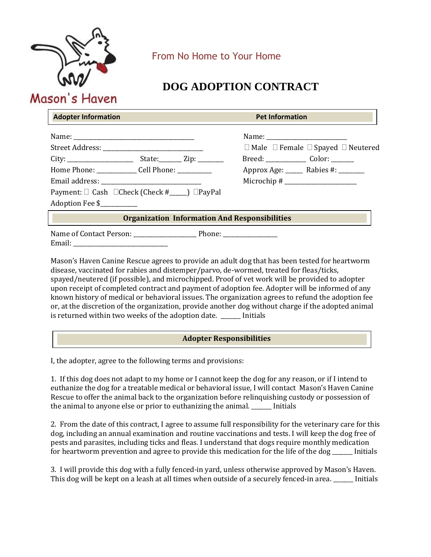

Mason's Haven

## From No Home to Your Home

## **DOG ADOPTION CONTRACT**

| <b>Adopter Information</b>                                                                                                              | <b>Pet Information</b>                                                                                                                      |
|-----------------------------------------------------------------------------------------------------------------------------------------|---------------------------------------------------------------------------------------------------------------------------------------------|
| Home Phone: _______________ Cell Phone: __________<br>Payment: $\Box$ Cash $\Box$ Check (Check #_____) $\Box$ PayPal<br>Adoption Fee \$ | $\Box$ Male $\Box$ Female $\Box$ Spayed $\Box$ Neutered<br>Breed: ________________ Color: ________<br>Approx Age: _______ Rabies #: _______ |
| <b>Organization Information And Responsibilities</b>                                                                                    |                                                                                                                                             |
|                                                                                                                                         |                                                                                                                                             |

Mason's Haven Canine Rescue agrees to provide an adult dog that has been tested for heartworm disease, vaccinated for rabies and distemper/parvo, de-wormed, treated for fleas/ticks, spayed/neutered (if possible), and microchipped. Proof of vet work will be provided to adopter upon receipt of completed contract and payment of adoption fee. Adopter will be informed of any known history of medical or behavioral issues. The organization agrees to refund the adoption fee or, at the discretion of the organization, provide another dog without charge if the adopted animal is returned within two weeks of the adoption date. \_\_\_\_\_\_\_ Initials

## **Adopter Responsibilities**

I, the adopter, agree to the following terms and provisions:

1. If this dog does not adapt to my home or I cannot keep the dog for any reason, or if I intend to euthanize the dog for a treatable medical or behavioral issue, I will contact Mason's Haven Canine Rescue to offer the animal back to the organization before relinquishing custody or possession of the animal to anyone else or prior to euthanizing the animal. \_\_\_\_\_\_\_ Initials

2. From the date of this contract, I agree to assume full responsibility for the veterinary care for this dog, including an annual examination and routine vaccinations and tests. I will keep the dog free of pests and parasites, including ticks and fleas. I understand that dogs require monthly medication for heartworm prevention and agree to provide this medication for the life of the dog \_\_\_\_\_\_\_ Initials

3. I will provide this dog with a fully fenced-in yard, unless otherwise approved by Mason's Haven. This dog will be kept on a leash at all times when outside of a securely fenced-in area. \_\_\_\_\_\_\_ Initials